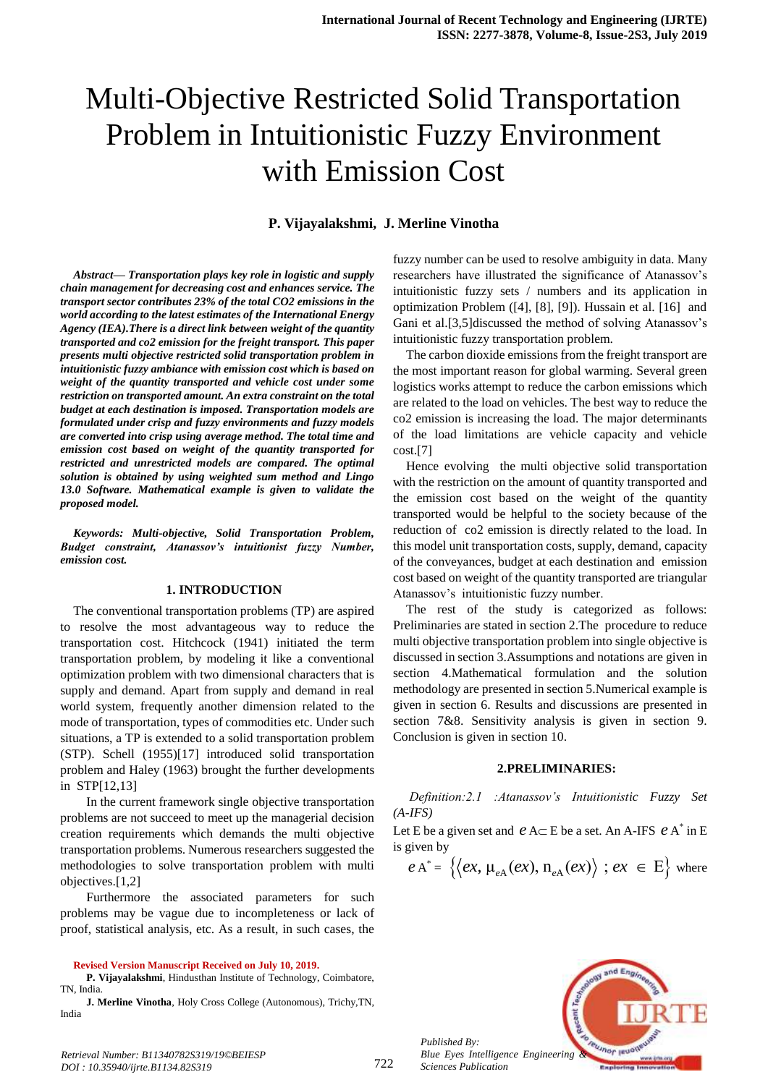# Multi-Objective Restricted Solid Transportation Problem in Intuitionistic Fuzzy Environment with Emission Cost

# **P. Vijayalakshmi, J. Merline Vinotha**

*Abstract***—** *Transportation plays key role in logistic and supply chain management for decreasing cost and enhances service. The transport sector contributes 23% of the total CO2 emissions in the world according to the latest estimates of the International Energy Agency (IEA).There is a direct link between weight of the quantity transported and co2 emission for the freight transport. This paper presents multi objective restricted solid transportation problem in intuitionistic fuzzy ambiance with emission cost which is based on weight of the quantity transported and vehicle cost under some restriction on transported amount. An extra constraint on the total budget at each destination is imposed. Transportation models are formulated under crisp and fuzzy environments and fuzzy models are converted into crisp using average method. The total time and emission cost based on weight of the quantity transported for restricted and unrestricted models are compared. The optimal solution is obtained by using weighted sum method and Lingo 13.0 Software. Mathematical example is given to validate the proposed model.*

*Keywords: Multi-objective, Solid Transportation Problem, Budget constraint, Atanassov's intuitionist fuzzy Number, emission cost.*

### **1. INTRODUCTION**

The conventional transportation problems (TP) are aspired to resolve the most advantageous way to reduce the transportation cost. Hitchcock (1941) initiated the term transportation problem, by modeling it like a conventional optimization problem with two dimensional characters that is supply and demand. Apart from supply and demand in real world system, frequently another dimension related to the mode of transportation, types of commodities etc. Under such situations, a TP is extended to a solid transportation problem (STP). Schell (1955)[17] introduced solid transportation problem and Haley (1963) brought the further developments in STP[12,13]

In the current framework single objective transportation problems are not succeed to meet up the managerial decision creation requirements which demands the multi objective transportation problems. Numerous researchers suggested the methodologies to solve transportation problem with multi objectives.[1,2]

Furthermore the associated parameters for such problems may be vague due to incompleteness or lack of proof, statistical analysis, etc. As a result, in such cases, the

**Revised Version Manuscript Received on July 10, 2019.**

**P. Vijayalakshmi**, Hindusthan Institute of Technology, Coimbatore, TN, India.

**J. Merline Vinotha**, Holy Cross College (Autonomous), Trichy,TN, India

fuzzy number can be used to resolve ambiguity in data. Many researchers have illustrated the significance of Atanassov's intuitionistic fuzzy sets / numbers and its application in optimization Problem ([4], [8], [9]). Hussain et al. [16] and Gani et al.[3,5]discussed the method of solving Atanassov's intuitionistic fuzzy transportation problem.

The carbon dioxide emissions from the freight transport are the most important reason for global warming. Several green logistics works attempt to reduce the carbon emissions which are related to the load on vehicles. The best way to reduce the co2 emission is increasing the load. The major determinants of the load limitations are vehicle capacity and vehicle cost.[7]

Hence evolving the multi objective solid transportation with the restriction on the amount of quantity transported and the emission cost based on the weight of the quantity transported would be helpful to the society because of the reduction of co2 emission is directly related to the load. In this model unit transportation costs, supply, demand, capacity of the conveyances, budget at each destination and emission cost based on weight of the quantity transported are triangular Atanassov's intuitionistic fuzzy number.

The rest of the study is categorized as follows: Preliminaries are stated in section 2.The procedure to reduce multi objective transportation problem into single objective is discussed in section 3.Assumptions and notations are given in section 4.Mathematical formulation and the solution methodology are presented in section 5.Numerical example is given in section 6. Results and discussions are presented in section 7&8. Sensitivity analysis is given in section 9. Conclusion is given in section 10.

#### **2.PRELIMINARIES:**

*Definition:2.1 :Atanassov's Intuitionistic Fuzzy Set (A-IFS)* 

Let E be a given set and  $eA \subset E$  be a set. An A-IFS  $eA^*$  in E is given by

given by  
\n
$$
e A^* = \{ \langle ex, \mu_{eA}(ex), n_{eA}(ex) \rangle : ex \in E \}
$$
 where



*Retrieval Number: B11340782S319/19©BEIESP DOI : 10.35940/ijrte.B1134.82S319*

*Published By:*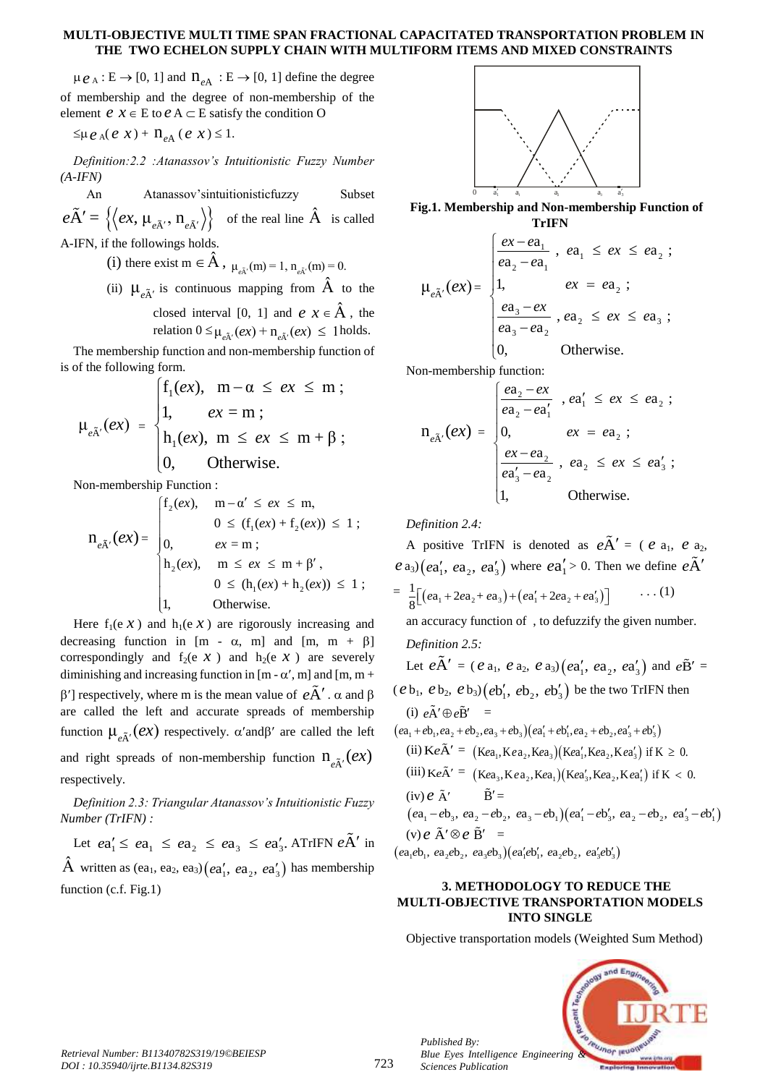#### **MULTI-OBJECTIVE MULTI TIME SPAN FRACTIONAL CAPACITATED TRANSPORTATION PROBLEM IN THE TWO ECHELON SUPPLY CHAIN WITH MULTIFORM ITEMS AND MIXED CONSTRAINTS**

 $\mu_{\ell}$  *e*<sub>A</sub> : E  $\rightarrow$  [0, 1] and  $n_{\ell}$  : E  $\rightarrow$  [0, 1] define the degree of membership and the degree of non-membership of the element  $e \text{ } x \in E$  to  $e \text{ } A \subset E$  satisfy the condition O

 $\leq \mu e_{A}(e x) + n_{eA}(e x) \leq 1.$ 

*Definition:2.2 :Atanassov's Intuitionistic Fuzzy Number (A-IFN)*

An Atanassov'sintuitionisticfuzzy Subset  $e\tilde{A}' = \left\{ \left\langle ex, \mu_{e\tilde{A}'}, n_{e\tilde{A}'} \right\rangle \right\}$  of the real line  $\hat{A}$  is called A-IFN, if the followings holds.

(i) there exist m  $\in \hat{A}$ ,  $\mu_{e\tilde{A}'}(m) = 1$ ,  $n_{e\tilde{A}'}(m) = 0$ .

(ii)  $\mu_{\tilde{e}A}$  is continuous mapping from  $\hat{A}$  to the closed interval [0, 1] and  $e \, x \in \hat{A}$ , the

relation  $0 \leq \mu_{e\tilde{A}'}(ex) + n_{e\tilde{A}'}(ex) \leq 1$  holds.

The membership function and non-membership function of is of the following form.

of the following form.  
\n
$$
\mu_{e\tilde{A}'}(ex) = \begin{cases}\nf_1(ex), & m - \alpha \le ex \le m ; \\
1, & ex = m ; \\
h_1(ex), & m \le ex \le m + \beta ; \\
0, & Otherwise.\n\end{cases}
$$

Non-membership Function :  
\n
$$
n_{e\tilde{A}'}(ex) = \begin{cases}\nf_2(ex), & m - \alpha' \le ex \le m, \\
0 \le (f_1(ex) + f_2(ex)) \le 1; \\
0, & ex = m; \\
h_2(ex), & m \le ex \le m + \beta', \\
0 \le (h_1(ex) + h_2(ex)) \le 1; \\
1, & \text{Otherwise.} \n\end{cases}
$$

Here  $f_1(e \mathcal{X})$  and  $h_1(e \mathcal{X})$  are rigorously increasing and decreasing function in  $[m - \alpha, m]$  and  $[m, m + \beta]$ correspondingly and  $f_2(e \mid x)$  and  $h_2(e \mid x)$  are severely diminishing and increasing function in  $[m - \alpha', m]$  and  $[m, m +$  $\beta'$ ] respectively, where m is the mean value of  $e\tilde{A}'$ .  $\alpha$  and  $\beta$ are called the left and accurate spreads of membership function  $\mu_{e\tilde{A}'}(ex)$  respectively.  $\alpha'$  and  $\beta'$  are called the left and right spreads of non-membership function  $n_{eA}(ex)$ respectively.

*Definition 2.3: Triangular Atanassov's Intuitionistic Fuzzy Number (TrIFN) :*

mber (*1rIFN*):<br>Let  $ea'_1 \leq ea_1 \leq ea_2 \leq ea_3 \leq ea'_3$ . ATrIFN  $e\tilde{A}'$  in  $\hat{A}$  written as  $(ea_1, ea_2, ea_3)(ea'_1, ea_2, ea'_3)$  has membership function (c.f. Fig.1)



**Fig.1. Membership and Non-membership Function of TrIFN**

**TrIFN**  
\n
$$
\mu_{e\tilde{A}'}(ex) = \begin{cases}\n\frac{ex - ea_1}{ea_2 - ea_1}, \quad ea_1 \le ex \le ea_2 ; \\
1, \quad ex = ea_2 ; \\
\frac{ea_3 - ex}{ea_3 - ea_2}, \quad ea_2 \le ex \le ea_3 ; \\
0, \quad \text{Otherwise.} \n\end{cases}
$$

Non-membership function:  
\n
$$
n_{e\tilde{A}'}(ex) = \begin{cases}\n\frac{ea_2 - ex}{ea_2 - ea_1} & , ea_1' \le ex \le ea_2 ; \\
0, & ex = ea_2 ; \\
\frac{ex - ea_2}{ea_3' - ea_2} & , ea_2 \le ex \le ea_3'; \\
1, & \text{Otherwise.}\n\end{cases}
$$

*Definition 2.4:*

A positive TrIFN is denoted as  $e\tilde{A}' = (e \ a_1, e \ a_2,$  $e$  a<sub>3</sub>)  $(ea'_1, ea_2, ea'_3)$  where  $ea'_1 > 0$ . Then we define  $e\tilde{A}'$ =  $\frac{1}{8} [(ea_1 + 2ea_2 + ea_3) + (ea'_1 + 2ea_2 + ea'_3)]$  $\frac{1}{8} \left[ (e a_1 + 2e a_2 + e a_3) + (e a_1' + 2e a_2 + e a_3) \right]$  $\ldots$  (1) an accuracy function of , to defuzzify the given number.

*Definition 2.5:*

Let 
$$
e\tilde{A}' = (e a_1, e a_2, e a_3) (ea'_1, ea_2, ea'_3)
$$
 and  $e\tilde{B}' = (e b_1, e b_2, e b_3) (eb'_1, eb_2, eb'_3)$  be the two TrIFN then  
\n(i)  $e\tilde{A}' \oplus e\tilde{B}' = (ea_1 + eb_1, ea_2 + eb_2, ea_3 + eb_3) (ea'_1 + eb'_1, ea_2 + eb_2, ea'_3 + eb'_3)$   
\n(ii)  $Ke\tilde{A}' = (Kea_1, Kea_2, Kea_3) (Kea'_1, Kea_2, Kea'_3)$  if  $K \ge 0$ .  
\n(iii)  $Ke\tilde{A}' = (Kea_3, Kea_2, Kea_1) (Kea'_3, Kea_2, Kea'_1)$  if  $K < 0$ .

(iii) 
$$
Ke\tilde{A}' = (Ke_{a_3}, Ke_{a_2}, Ke_{a_1})(Ke_{a'_3}, Ke_{a_2}, Ke_{a'_1})
$$
 if  $K < 0$ .  
\n(iv)  $e \tilde{A}' \qquad \tilde{B}' =$   
\n $(ea_1 - eb_3, ea_2 - eb_2, ea_3 - eb_1)(ea'_1 - eb'_3, ea_2 - eb_2, ea'_3 - eb'_1)$   
\n(v)  $e \tilde{A}' \otimes e \tilde{B}' =$ 

 $(ea_1e_1, ea_2e_2, ea_3e_3)(ea'_1e'_1, ea_2e'_2, ea'_3e'_3)$ 

# **3. METHODOLOGY TO REDUCE THE MULTI-OBJECTIVE TRANSPORTATION MODELS INTO SINGLE**

Objective transportation models (Weighted Sum Method)



*Published By:*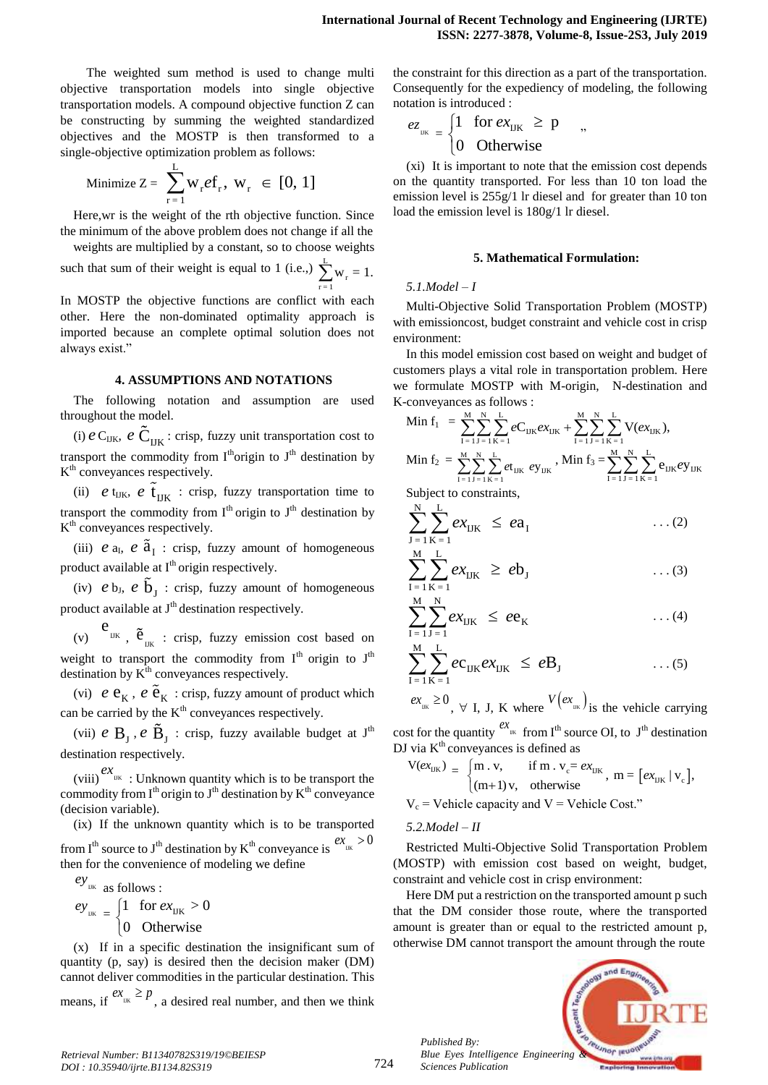The weighted sum method is used to change multi objective transportation models into single objective transportation models. A compound objective function Z can be constructing by summing the weighted standardized objectives and the MOSTP is then transformed to a single-objective optimization problem as follows:

$$
\text{Minimize } Z = \sum_{r=1}^{L} w_r e f_r, \ w_r \in [0, 1]
$$

Here,wr is the weight of the rth objective function. Since the minimum of the above problem does not change if all the weights are multiplied by a constant, so to choose weights

such that sum of their weight is equal to 1 (i.e.,)  $\sum_{i=1}^{L}$  $\sum_{r=1}^{8} w_r = 1.$ 

In MOSTP the objective functions are conflict with each other. Here the non-dominated optimality approach is imported because an complete optimal solution does not always exist."

#### **4. ASSUMPTIONS AND NOTATIONS**

The following notation and assumption are used throughout the model.

(i)  $e$  C<sub>IJK</sub>,  $e$  C<sub>IJK</sub>: crisp, fuzzy unit transportation cost to transport the commodity from  $I<sup>th</sup>$ origin to  $J<sup>th</sup>$  destination by K<sup>th</sup> conveyances respectively.

(ii)  $e$  t<sub>IJK</sub>,  $e$   $\tilde{t}_{IJK}$  : crisp, fuzzy transportation time to transport the commodity from  $I<sup>th</sup>$  origin to  $J<sup>th</sup>$  destination by K<sup>th</sup> conveyances respectively.

(iii)  $e$  a<sub>I</sub>,  $e$   $\tilde{a}$ <sub>I</sub> : crisp, fuzzy amount of homogeneous product available at I<sup>th</sup> origin respectively.

(iv)  $e$   $b_J$ ,  $e$   $\tilde{b}_J$  : crisp, fuzzy amount of homogeneous product available at  $J<sup>th</sup>$  destination respectively.

(v)  $e_{\text{IJK}}$ ,  $\tilde{e}_{\text{IJK}}$  : crisp, fuzzy emission cost based on weight to transport the commodity from  $I<sup>th</sup>$  origin to  $J<sup>th</sup>$ destination by  $K^{\text{th}}$  conveyances respectively.

(vi)  $e \, \mathbf{e}_K$ ,  $e \, \tilde{\mathbf{e}}_K$  : crisp, fuzzy amount of product which can be carried by the  $K<sup>th</sup>$  conveyances respectively.

(vii)  $e$   $B_J$ ,  $e$   $\tilde{B}_J$  : crisp, fuzzy available budget at  $J<sup>th</sup>$ destination respectively.

 $\frac{ex}{}$  : Unknown quantity which is to be transport the commodity from  $I<sup>th</sup>$  origin to  $J<sup>th</sup>$  destination by  $K<sup>th</sup>$  conveyance (decision variable).

(ix) If the unknown quantity which is to be transported from I<sup>th</sup> source to J<sup>th</sup> destination by K<sup>th</sup> conveyance is  $e^{tx}$ <sub>IK</sub> > 0 then for the convenience of modeling we define

$$
ey_{\text{UR}} \text{ as follows :}
$$
\n
$$
ey_{\text{UR}} = \begin{cases} 1 & \text{for } \text{ex}_{\text{UK}} > 0 \\ 0 & \text{Otherwise} \end{cases}
$$

(x) If in a specific destination the insignificant sum of quantity (p, say) is desired then the decision maker (DM) cannot deliver commodities in the particular destination. This means, if  $e^{tx}$ <sub>IIK</sub>  $\geq p$ , a desired real number, and then we think

the constraint for this direction as a part of the transportation. Consequently for the expediency of modeling, the following notation is introduced :

$$
e_{z_{\text{UK}}} = \begin{cases} 1 & \text{for } ex_{\text{UK}} \ge p \\ 0 & \text{Otherwise} \end{cases}
$$

(xi) It is important to note that the emission cost depends on the quantity transported. For less than 10 ton load the emission level is 255g/1 lr diesel and for greater than 10 ton load the emission level is 180g/1 lr diesel.

#### **5. Mathematical Formulation:**

# *5.1.Model – I*

Multi-Objective Solid Transportation Problem (MOSTP) with emissioncost, budget constraint and vehicle cost in crisp environment:

In this model emission cost based on weight and budget of customers plays a vital role in transportation problem. Here K-conveyances as follows :<br>
Min f =  $\frac{M}{N} \frac{N}{N} \frac{L}{N}$ 

we formulate MOSTP with M-origin, N-destination and  
\nK-coneyances as follows :  
\nMin f<sub>1</sub> = 
$$
\sum_{I=1}^{M} \sum_{J=1}^{N} \sum_{K=1}^{L} eC_{IJK}e x_{IJK} + \sum_{I=1}^{M} \sum_{J=1}^{N} \sum_{K=1}^{L} V(e x_{IJK}),
$$
  
\nMin f<sub>2</sub> =  $\sum_{I=1}^{M} \sum_{J=1}^{N} \sum_{K=1}^{L} e t_{IJK} e y_{IJK}$ , Min f<sub>3</sub> =  $\sum_{I=1}^{M} \sum_{J=1}^{N} \sum_{K=1}^{L} e_{IJK} e y_{IJK}$ 

Subject to constraints,

$$
\sum_{J=1}^{N} \sum_{K=1}^{L} ex_{IJK} \leq ea_I \qquad \qquad \dots (2)
$$

$$
\sum_{I=1}^{M} \sum_{K=1}^{L} ex_{IJK} \geq eb_J \qquad \qquad \dots (3)
$$

$$
\sum_{I=1}^{M} \sum_{J=1}^{N} ex_{IJK} \leq ee_K \qquad \qquad \dots (4)
$$

$$
\sum_{I=1}^{M} \sum_{K=1}^{L} e c_{IJK} e x_{IJK} \leq e B_J \qquad \qquad \dots (5)
$$

 $ex_{\mu} \ge 0$ ,  $\forall$  I, J, K where  $V(ex_{\mu})$  is the vehicle carrying

cost for the quantity  $e^{X}$ <sup>IK</sup> from I<sup>th</sup> source OI, to J<sup>th</sup> destination DJ via K<sup>th</sup> conveyances is defined as<br>  $V(ex_{UK}) = \int m \cdot v$ , if m .  $v_c = c$ 

via K<sup>m</sup> convergances is defined as  
\n
$$
V(ex_{UK}) = \begin{cases} m.v, & \text{if } m.v_c = ex_{UK} \\ (m+1)v, & \text{otherwise} \end{cases}, m = [ex_{UK} | v_c],
$$

$$
V_c
$$
 = Vehicle capacity and  $V$  = Vehicle Cost."

*5.2.Model – II*

*Published By:*

*Sciences Publication* 

Restricted Multi-Objective Solid Transportation Problem (MOSTP) with emission cost based on weight, budget, constraint and vehicle cost in crisp environment:

Here DM put a restriction on the transported amount p such that the DM consider those route, where the transported amount is greater than or equal to the restricted amount p, otherwise DM cannot transport the amount through the route

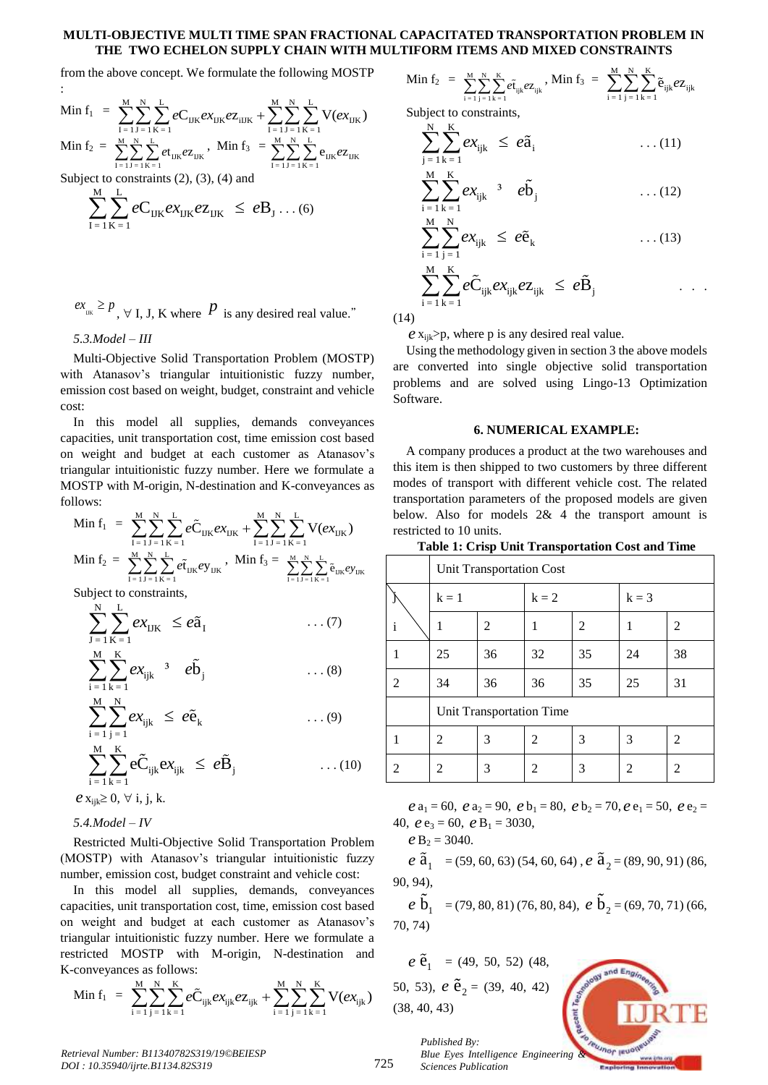#### **MULTI-OBJECTIVE MULTI TIME SPAN FRACTIONAL CAPACITATED TRANSPORTATION PROBLEM IN THE TWO ECHELON SUPPLY CHAIN WITH MULTIFORM ITEMS AND MIXED CONSTRAINTS**

from the above concept. We formulate the following MOSTP  
\n:  
\n
$$
\text{Min } f_1 = \sum_{I=1}^{M} \sum_{J=1}^{N} \sum_{K=1}^{L} eC_{IJK} e_{IJK} e_{IJK} + \sum_{I=1}^{M} \sum_{J=1}^{N} \sum_{K=1}^{L} V(e_{IJK})
$$
\n
$$
\text{Min } f_2 = \sum_{I=1}^{M} \sum_{J=1}^{N} \sum_{K=1}^{L} e_{IJK} e_{IJK}, \text{ Min } f_3 = \sum_{I=1}^{M} \sum_{J=1}^{N} \sum_{K=1}^{L} e_{IJK} e_{IJK}
$$

 $I = 1 J = 1 K = 1$ 

Subject to constraints (2), (3), (4) and  
\n
$$
\sum_{I=1}^{M} \sum_{K=1}^{L} eC_{IJK} e X_{IJK} e Z_{IJK} \leq e B_J \dots (6)
$$

 $ex_{\mu} \geq p$ ,  $\forall$  I, J, K where  $\hat{P}$  is any desired real value."

*5.3.Model – III*

:

Multi-Objective Solid Transportation Problem (MOSTP) with Atanasov's triangular intuitionistic fuzzy number, emission cost based on weight, budget, constraint and vehicle cost:

In this model all supplies, demands conveyances capacities, unit transportation cost, time emission cost based on weight and budget at each customer as Atanasov's triangular intuitionistic fuzzy number. Here we formulate a follows:

MOSTP with M-origin, N-destination and K-conveyances as follows:  
\n
$$
\text{Min } f_1 = \sum_{I=1}^{M} \sum_{J=1}^{N} \sum_{K=1}^{L} e\tilde{C}_{IJK} e x_{IJK} + \sum_{I=1}^{M} \sum_{J=1}^{N} \sum_{K=1}^{L} V(e x_{IJK})
$$
\n
$$
\text{Min } f_2 = \sum_{I=1}^{M} \sum_{J=1}^{N} \sum_{K=1}^{L} e \tilde{t}_{IJK} e y_{IJK}, \text{ Min } f_3 = \sum_{I=1}^{M} \sum_{J=1}^{N} \sum_{K=1}^{L} \tilde{e}_{IJK} e y_{IJK}
$$
\n
$$
\text{Subiate constraints.}
$$

Subject to constraints,

$$
\sum_{J=1}^{N} \sum_{K=1}^{L} ex_{IJK} \le e\tilde{a}_{I} \qquad \qquad \dots (7)
$$
  

$$
\sum_{i=1}^{M} \sum_{k=1}^{K} ex_{ijk} \qquad e\tilde{b}_{j} \qquad \qquad \dots (8)
$$

$$
\sum_{i=1}^{M} \sum_{j=1}^{N} ex_{ijk} \leq e\tilde{e}_k \qquad \qquad \dots (9)
$$

$$
\sum_{i=1}^{M} \sum_{k=1}^{K} e\tilde{C}_{ijk} e x_{ijk} \leq e\tilde{B}_{j} \qquad \qquad \dots (10)
$$
  
\n
$$
e x_{ijk} \geq 0, \forall i, j, k.
$$

*5.4.Model – IV*

Restricted Multi-Objective Solid Transportation Problem (MOSTP) with Atanasov's triangular intuitionistic fuzzy number, emission cost, budget constraint and vehicle cost:

In this model all supplies, demands, conveyances capacities, unit transportation cost, time, emission cost based on weight and budget at each customer as Atanasov's triangular intuitionistic fuzzy number. Here we formulate a K-conveyances as follows:<br> $\frac{M}{M} \frac{N}{N} \frac{K}{K} \approx \frac{M}{M} \frac{N}{N} \frac{K}{N}$ 

restricted MOSTP with M-origin, N-destination and  
K-conveyances as follows:  

$$
\text{Min } f_1 = \sum_{i=1}^{M} \sum_{j=1}^{N} \sum_{k=1}^{K} e \tilde{C}_{ijk} e x_{ijk} e z_{ijk} + \sum_{i=1}^{M} \sum_{j=1}^{N} \sum_{k=1}^{K} V(e x_{ijk})
$$

Min  $f_2 = \sum_{k=1}^{M} \sum_{k=1}^{N}$  $\sum_{i=1}^{M} \sum_{j=1}^{N} \sum_{k=1}^{K} e\tilde{t}_{ijk} e z_{ijk}$ , Min  $f_3 = \sum_{i=1}^{M} \sum_{j=1}^{N} \sum_{k=1}^{K}$  $\sum_{i=1}^{m} \sum_{j=1}^{n} \sum_{k=1}^{n} \tilde{e}_{ijk} e_{ijk}$ 

Subject to constraints,  $N K$ 

$$
\sum_{j=1}^{N} \sum_{k=1}^{K} ex_{ijk} \leq e\tilde{a}_i \qquad \qquad \dots (11)
$$

$$
\sum_{i=1}^{M} \sum_{k=1}^{K} ex_{ijk} \quad ^3 \quad e\tilde{b}_j \qquad \qquad \dots (12)
$$

$$
\sum_{i=1}^{M} \sum_{j=1}^{N} ex_{ijk} \leq e\tilde{e}_k \qquad \qquad \dots (13)
$$
  

$$
\sum_{i=1}^{M} \sum_{k=1}^{K} e\tilde{C}_{ijk} ex_{ijk} e Z_{ijk} \leq e\tilde{B}_j \qquad \qquad \dots
$$

(14)

 $\frac{1}{i} - 1$   $\frac{1}{k} - 1$ 

 $\gg$ *<sub>p</sub>, where p is any desired real value.* 

Using the methodology given in section 3 the above models are converted into single objective solid transportation problems and are solved using Lingo-13 Optimization Software.

# **6. NUMERICAL EXAMPLE:**

A company produces a product at the two warehouses and this item is then shipped to two customers by three different modes of transport with different vehicle cost. The related transportation parameters of the proposed models are given below. Also for models 2& 4 the transport amount is restricted to 10 units.

|              | <b>Unit Transportation Cost</b> |    |                |    |         |    |
|--------------|---------------------------------|----|----------------|----|---------|----|
|              | $k = 1$                         |    | $k = 2$        |    | $k = 3$ |    |
| $\mathbf{i}$ | 1                               | 2  |                | 2  |         | 2  |
|              | 25                              | 36 | 32             | 35 | 24      | 38 |
| 2            | 34                              | 36 | 36             | 35 | 25      | 31 |
|              | Unit Transportation Time        |    |                |    |         |    |
|              | $\mathfrak{D}$                  | 3  | $\mathfrak{D}$ | 3  | 3       | 2  |
| 2            | 2                               | 3  | 2              | 3  | 2       | 2  |

$$
e \mathbf{a}_1 = 60
$$
,  $e \mathbf{a}_2 = 90$ ,  $e \mathbf{b}_1 = 80$ ,  $e \mathbf{b}_2 = 70$ ,  $e \mathbf{e}_1 = 50$ ,  $e \mathbf{e}_2 = 40$ ,  $e \mathbf{e}_3 = 60$ ,  $e \mathbf{B}_1 = 3030$ ,

 $e$  B<sub>2</sub> = 3040.

 $e \tilde{a}_1 = (59, 60, 63) (54, 60, 64)$ ,  $e \tilde{a}_2 = (89, 90, 91) (86,$ 90, 94),

 $e$  **b**<sub>1</sub> = (79, 80, 81) (76, 80, 84),  $e$  **b**<sub>2</sub> = (69, 70, 71) (66, 70, 74)

$$
e \tilde{e}_1 = (49, 50, 52) (48,
$$
  
50, 53),  $e \tilde{e}_2 = (39, 40, 42)$   
(38, 40, 43)



*Published By: Blue Eyes Intelligence Engineering & Sciences Publication* 

725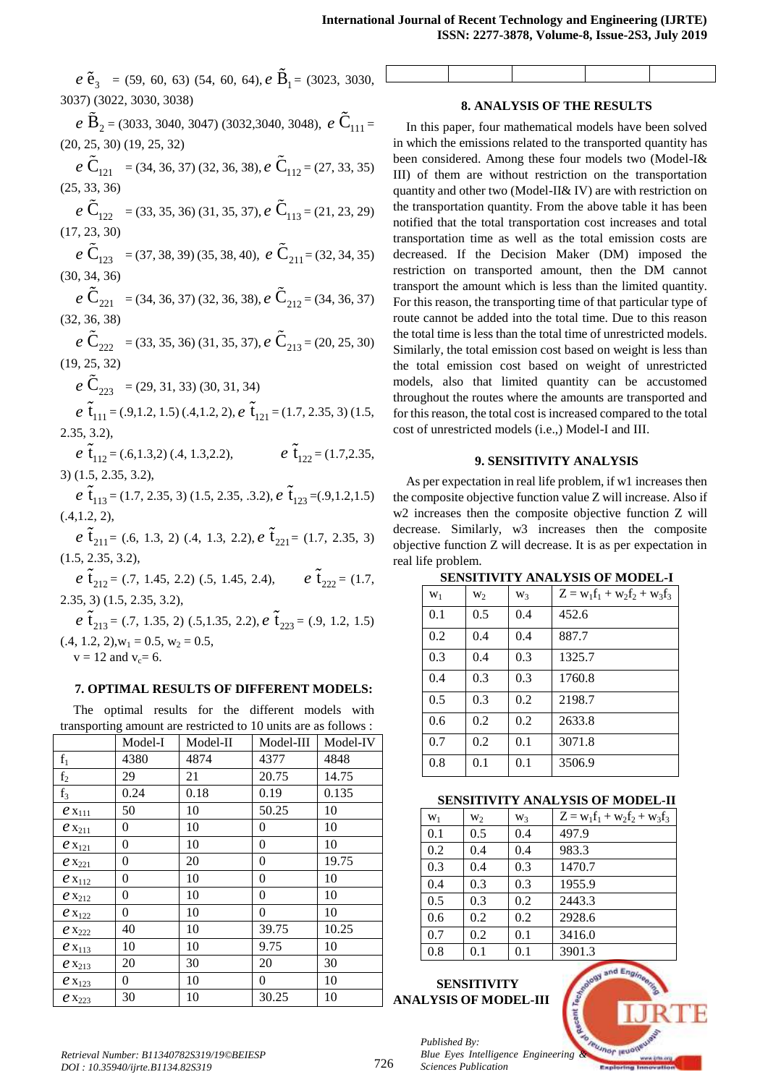$e \tilde{e}_3 = (59, 60, 63) (54, 60, 64), e \tilde{B}_1 = (3023, 3030, \Box)$ 3037) (3022, 3030, 3038)

 $e\widetilde{\mathbf{B}}_2$  = (3033, 3040, 3047) (3032,3040, 3048),  $e\widetilde{\mathbf{C}}_{111}$  =  $(20, 25, 30)$   $(19, 25, 32)$ 

 $e\widetilde{C}_{121} = (34, 36, 37) (32, 36, 38), e\widetilde{C}_{112} = (27, 33, 35)$  $(25, 33, 36)$ 

 $e\widetilde{C}_{122} = (33, 35, 36) (31, 35, 37), e\widetilde{C}_{113} = (21, 23, 29)$  $(17, 23, 30)$ 

 $e\widetilde{\mathbf{C}}_{123} = (37, 38, 39)(35, 38, 40), e\widetilde{\mathbf{C}}_{211} = (32, 34, 35)$  $(30, 34, 36)$ 

 $e\widetilde{\mathbf{C}}_{221} = (34, 36, 37) (32, 36, 38), e\widetilde{\mathbf{C}}_{212} = (34, 36, 37)$  $(32, 36, 38)$ 

 $e\,\tilde{\mathbf{C}}_{222} = (33, 35, 36)$  (31, 35, 37),  $e\,\tilde{\mathbf{C}}_{213} = (20, 25, 30)$  $(19.25.32)$ 

 $e \tilde{C}_{223} = (29, 31, 33) (30, 31, 34)$ 

 $e\tilde{t}_{111} = (0.9, 1.2, 1.5) (0.4, 1.2, 2), e\tilde{t}_{121} = (1.7, 2.35, 3) (1.5,$  $2.35, 3.2$ 

 $e \tilde{t}_{12} = (.6,1.3,2) (.4, 1.3,2.2),$   $e \tilde{t}_{122} = (.1.7,2.35,$  $3)$  (1.5, 2.35, 3.2),

 $e \tilde{t}_{113} = (1.7, 2.35, 3) (1.5, 2.35, .3.2), e \tilde{t}_{123} = (.9, 1.2, 1.5)$  $(.4,1.2,2),$ 

 $e \tilde{t}_{211} = (0.6, 1.3, 2) (0.4, 1.3, 2.2), e \tilde{t}_{221} = (1.7, 2.35, 3)$  $(1.5, 2.35, 3.2)$ 

 $e \tilde{t}_{212} = (0.7, 1.45, 2.2)$  (.5, 1.45, 2.4),  $e \tilde{t}_{222} = (1.7, 1.45, 2.2)$  $(1.5, 2.35, 3.2),$ 

 $e \tilde{t}_{213} = (0.7, 1.35, 2)$  (0.5,1.35, 2.2),  $e \tilde{t}_{223} = (0.9, 1.2, 1.5)$  $(0.4, 1.2, 2), w_1 = 0.5, w_2 = 0.5,$ 

 $v = 12$  and  $v_c = 6$ .

# 7. OPTIMAL RESULTS OF DIFFERENT MODELS:

The optimal results for the different models with transporting amount are restricted to 10 units are as follows :

|                | Model-I  | Model-II | Model-III | Model-IV |
|----------------|----------|----------|-----------|----------|
| $f_1$          | 4380     | 4874     | 4377      | 4848     |
| f <sub>2</sub> | 29       | 21       | 20.75     | 14.75    |
| $f_3$          | 0.24     | 0.18     | 0.19      | 0.135    |
| $e_{X_{111}}$  | 50       | 10       | 50.25     | 10       |
| $e_{x_{211}}$  | 0        | 10       | 0         | 10       |
| $e_{x_{121}}$  | 0        | 10       | 0         | 10       |
| $e_{x_{221}}$  | 0        | 20       | 0         | 19.75    |
| $e_{X_{112}}$  | 0        | 10       | 0         | 10       |
| $e_{x_{212}}$  | $\theta$ | 10       | 0         | 10       |
| $e_{x_{122}}$  | 0        | 10       | 0         | 10       |
| $e_{x_{222}}$  | 40       | 10       | 39.75     | 10.25    |
| $e_{x_{113}}$  | 10       | 10       | 9.75      | 10       |
| $e_{X_{213}}$  | 20       | 30       | 20        | 30       |
| $e_{x_{123}}$  | 0        | 10       | 0         | 10       |
| $e_{x_{223}}$  | 30       | 10       | 30.25     | 10       |

## **8. ANALYSIS OF THE RESULTS**

In this paper, four mathematical models have been solved in which the emissions related to the transported quantity has been considered. Among these four models two (Model-I& III) of them are without restriction on the transportation quantity and other two (Model-II& IV) are with restriction on the transportation quantity. From the above table it has been notified that the total transportation cost increases and total transportation time as well as the total emission costs are decreased. If the Decision Maker (DM) imposed the restriction on transported amount, then the DM cannot transport the amount which is less than the limited quantity. For this reason, the transporting time of that particular type of route cannot be added into the total time. Due to this reason the total time is less than the total time of unrestricted models. Similarly, the total emission cost based on weight is less than the total emission cost based on weight of unrestricted models, also that limited quantity can be accustomed throughout the routes where the amounts are transported and for this reason, the total cost is increased compared to the total cost of unrestricted models (i.e.,) Model-I and III.

## 9. SENSITIVITY ANALYSIS

As per expectation in real life problem, if w1 increases then the composite objective function value Z will increase. Also if w2 increases then the composite objective function Z will decrease. Similarly, w3 increases then the composite objective function Z will decrease. It is as per expectation in real life problem.

| $W_1$ | W <sub>2</sub> | W <sub>3</sub> | $Z = w_1 f_1 + w_2 f_2 + w_3 f_3$ |
|-------|----------------|----------------|-----------------------------------|
| 0.1   | 0.5            | 0.4            | 452.6                             |
| 0.2   | 0.4            | 0.4            | 887.7                             |
| 0.3   | 0.4            | 0.3            | 1325.7                            |
| 0.4   | 0.3            | 0.3            | 1760.8                            |
| 0.5   | 0.3            | 0.2            | 2198.7                            |
| 0.6   | 0.2            | 0.2            | 2633.8                            |
| 0.7   | 0.2            | 0.1            | 3071.8                            |
| 0.8   | 0.1            | 0.1            | 3506.9                            |

**SENSITIVITY ANALYSIS OF MODEL-I** 

#### **SENSITIVITY ANALYSIS OF MODEL-II**

| $W_1$ | $W_2$ | W <sub>3</sub> | $Z = w_1 f_1 + w_2 f_2 + w_3 f_3$ |
|-------|-------|----------------|-----------------------------------|
| 0.1   | 0.5   | 0.4            | 497.9                             |
| 0.2   | 0.4   | 0.4            | 983.3                             |
| 0.3   | 0.4   | 0.3            | 1470.7                            |
| 0.4   | 0.3   | 0.3            | 1955.9                            |
| 0.5   | 0.3   | 0.2            | 2443.3                            |
| 0.6   | 0.2   | 0.2            | 2928.6                            |
| 0.7   | 0.2   | 0.1            | 3416.0                            |
| 0.8   | 0.1   | 0.1            | 3901.3                            |

# **SENSITIVITY ANALYSIS OF MODEL-III**

Published By: